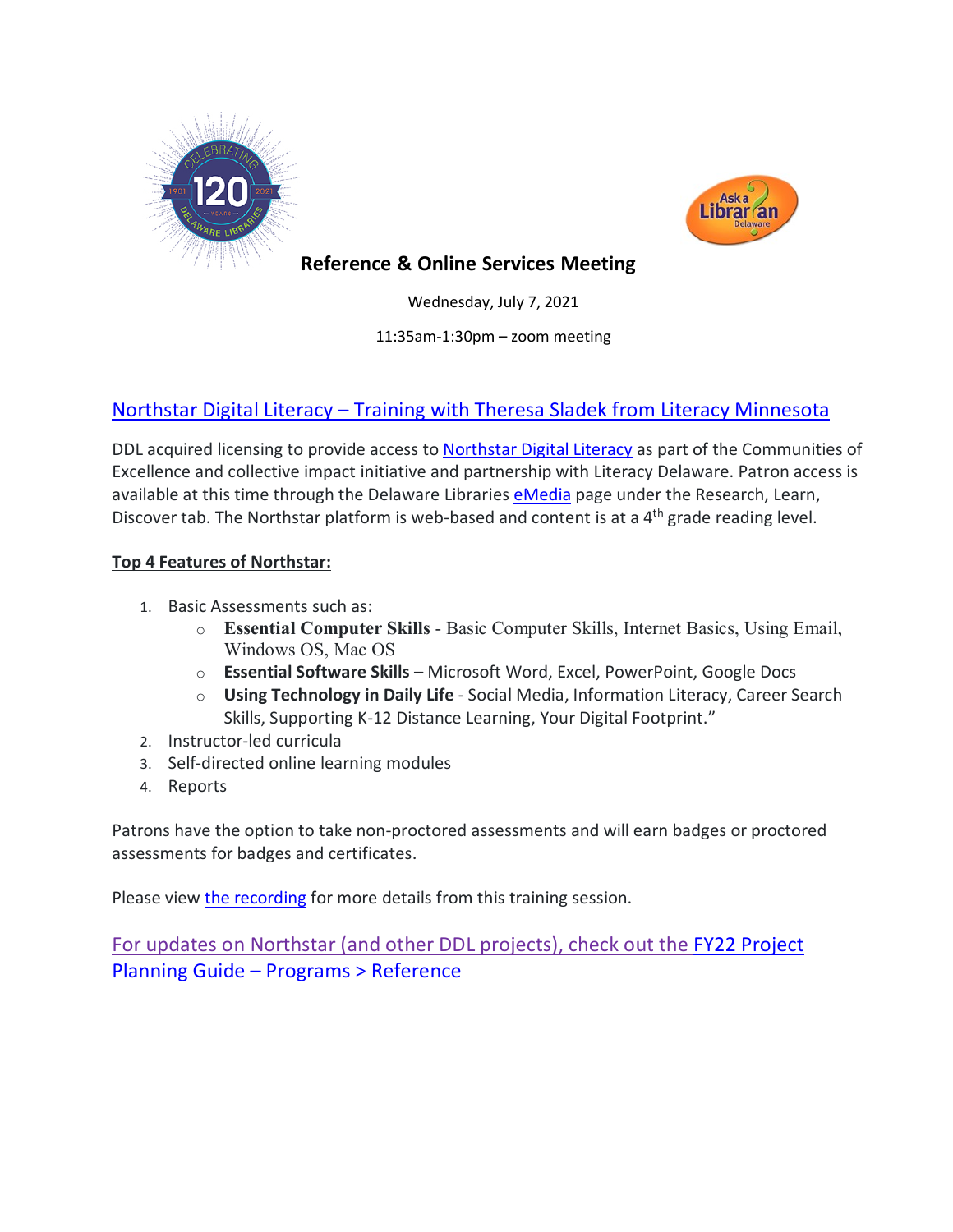



# **Reference & Online Services Meeting**

Wednesday, July 7, 2021

11:35am-1:30pm – zoom meeting

# [Northstar Digital Literacy](https://www.digitalliteracyassessment.org/about#about) – Training with Theresa Sladek from Literacy Minnesota

DDL acquired licensing to provide access to [Northstar Digital Literacy](https://www.digitalliteracyassessment.org/about#about) as part of the Communities of Excellence and collective impact initiative and partnership with Literacy Delaware. Patron access is available at this time through the Delaware Libraries [eMedia](https://lib.de.us/emedia/) page under the Research, Learn, Discover tab. The Northstar platform is web-based and content is at a 4<sup>th</sup> grade reading level.

#### **Top 4 Features of Northstar:**

- 1. Basic Assessments such as:
	- o **Essential Computer Skills** Basic Computer Skills, Internet Basics, Using Email, Windows OS, Mac OS
	- o **Essential Software Skills** Microsoft Word, Excel, PowerPoint, Google Docs
	- o **Using Technology in Daily Life** Social Media, Information Literacy, Career Search Skills, Supporting K-12 Distance Learning, Your Digital Footprint."
- 2. Instructor-led curricula
- 3. Self-directed online learning modules
- 4. Reports

Patrons have the option to take non-proctored assessments and will earn badges or proctored assessments for badges and certificates.

Please view [the recording](https://youtu.be/jBBKdeVgyfs) for more details from this training session.

For updates on Northstar (and other DDL projects), check out the [FY22 Project](https://guides.lib.de.us/projectplanning/programs)  Planning Guide – [Programs > Reference](https://guides.lib.de.us/projectplanning/programs)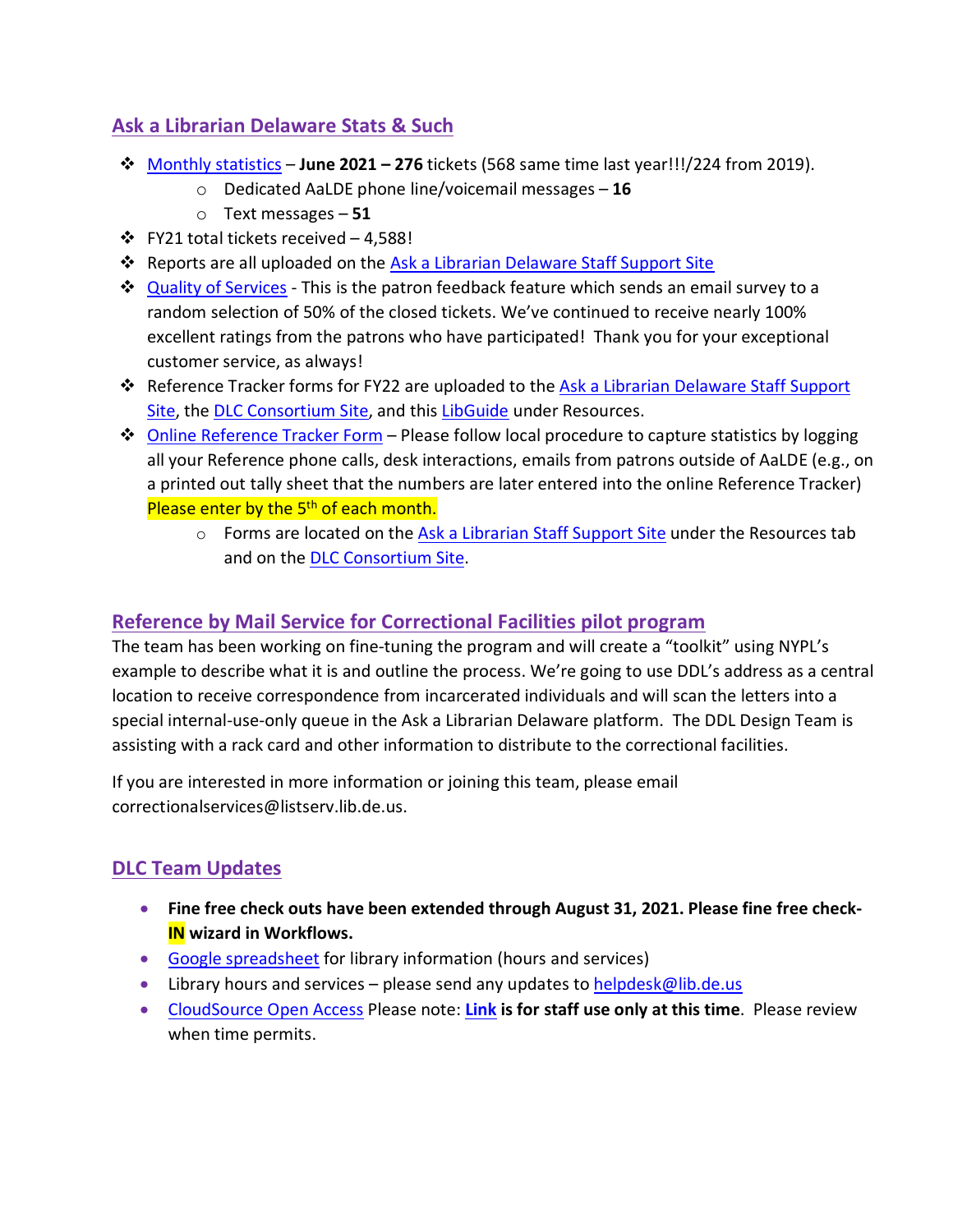# **Ask a Librarian Delaware Stats & Such**

- [Monthly statistics](https://aalstaff.lib.de.us/home/reports/fy21-monthly-reports/) **June 2021 – 276** tickets (568 same time last year!!!/224 from 2019).
	- o Dedicated AaLDE phone line/voicemail messages **16**
	- o Text messages **51**
- $\div$  FY21 total tickets received 4,588!
- **\*** Reports are all uploaded on the [Ask a Librarian Delaware Staff Support Site](https://aalstaff.lib.de.us/home/reports/fy21-monthly-reports/)
- ♦ [Quality of Services](https://ask.springshare.com/libanswers/faq/2830) This is the patron feedback feature which sends an email survey to a random selection of 50% of the closed tickets. We've continued to receive nearly 100% excellent ratings from the patrons who have participated! Thank you for your exceptional customer service, as always!
- Reference Tracker forms for FY22 are uploaded to the [Ask a Librarian Delaware Staff Support](https://aalstaff.lib.de.us/resources/reference-tracker-forms/)  [Site,](https://aalstaff.lib.de.us/resources/reference-tracker-forms/) the [DLC Consortium Site,](https://consortium.lib.de.us/) and this [LibGuide](https://guides.lib.de.us/c.php?g=386101&p=2619930) under Resources.
- $\dots$  [Online Reference Tracker Form](https://de.countingopinions.com/s/feedback/index.php?survey_id=598&loc_id=en_CA) Please follow local procedure to capture statistics by logging all your Reference phone calls, desk interactions, emails from patrons outside of AaLDE (e.g., on a printed out tally sheet that the numbers are later entered into the online Reference Tracker) Please enter by the 5<sup>th</sup> of each month.
	- $\circ$  Forms are located on the [Ask a Librarian Staff Support Site](https://aalstaff.lib.de.us/resources/) under the Resources tab and on the [DLC Consortium Site.](https://consortium.lib.de.us/)

### **Reference by Mail Service for Correctional Facilities pilot program**

The team has been working on fine-tuning the program and will create a "toolkit" using NYPL's example to describe what it is and outline the process. We're going to use DDL's address as a central location to receive correspondence from incarcerated individuals and will scan the letters into a special internal-use-only queue in the Ask a Librarian Delaware platform. The DDL Design Team is assisting with a rack card and other information to distribute to the correctional facilities.

If you are interested in more information or joining this team, please email correctionalservices@listserv.lib.de.us.

# **DLC Team Updates**

- **Fine free check outs have been extended through August 31, 2021. Please fine free check-IN wizard in Workflows.**
- [Google spreadsheet](https://docs.google.com/spreadsheets/d/1LU1wJdCTHeCELlt4vygc-mjwQQNm1__Su4hihXtu8v8/edit#gid=461441173) for library information (hours and services)
- Library hours and services please send any updates t[o helpdesk@lib.de.us](mailto:helpdesk@lib.de.us)
- [CloudSource Open Access](https://dlc.lib.de.us/client/en_US/CSOA/) Please note: **[Link](https://dlc.lib.de.us/client/en_US/CSOA/) is for staff use only at this time**. Please review when time permits.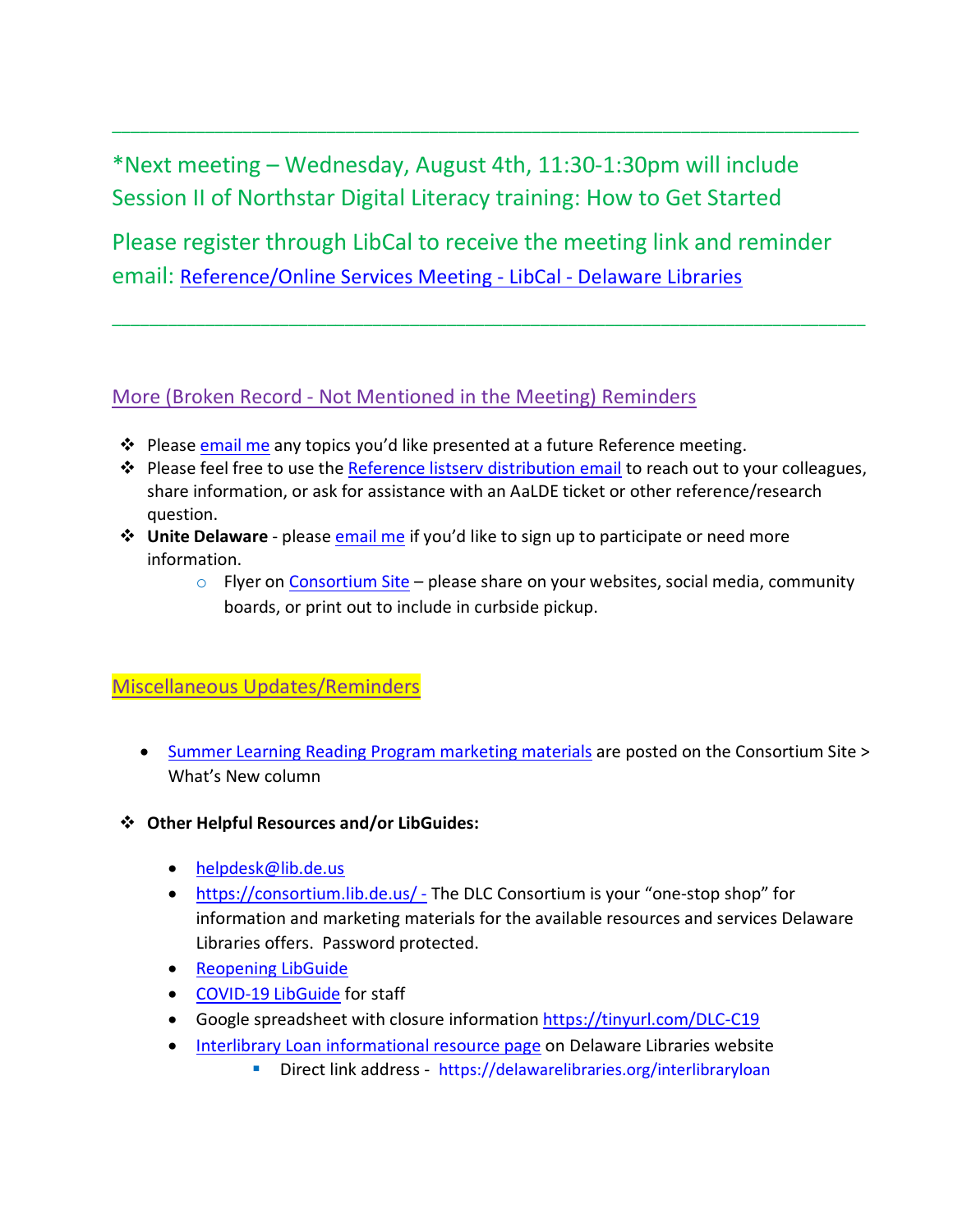\*Next meeting – Wednesday, August 4th, 11:30-1:30pm will include Session II of Northstar Digital Literacy training: How to Get Started

Please register through LibCal to receive the meeting link and reminder email: [Reference/Online Services Meeting -](https://delawarelibraries.libcal.com/event/7964290) LibCal - Delaware Libraries

\_\_\_\_\_\_\_\_\_\_\_\_\_\_\_\_\_\_\_\_\_\_\_\_\_\_\_\_\_\_\_\_\_\_\_\_\_\_\_\_\_\_\_\_\_\_\_\_\_\_\_\_\_\_\_\_\_\_\_\_\_\_\_\_\_\_\_\_\_\_\_\_\_\_\_\_\_\_\_\_\_

\_\_\_\_\_\_\_\_\_\_\_\_\_\_\_\_\_\_\_\_\_\_\_\_\_\_\_\_\_\_\_\_\_\_\_\_\_\_\_\_\_\_\_\_\_\_\_\_\_\_\_\_\_\_\_\_\_\_\_\_\_\_\_\_\_\_\_\_\_\_\_\_\_\_\_\_\_\_\_\_

### More (Broken Record - Not Mentioned in the Meeting) Reminders

- ❖ Please [email me](mailto:missy.williams@lib.de.us) any topics you'd like presented at a future Reference meeting.
- \* Please feel free to use the [Reference listserv distribution email](mailto:reference@listserv.lib.de.us) to reach out to your colleagues, share information, or ask for assistance with an AaLDE ticket or other reference/research question.
- **Unite Delaware** please [email me](mailto:missy.williams@lib.de.us) if you'd like to sign up to participate or need more information.
	- $\circ$  Flyer on [Consortium Site](https://consortium.lib.de.us/marketing/) please share on your websites, social media, community boards, or print out to include in curbside pickup.

## Miscellaneous Updates/Reminders

- [Summer Learning Reading Program marketing materials](https://consortium.lib.de.us/public-services/slrp-materials/) are posted on the Consortium Site > What's New column
- **Other Helpful Resources and/or LibGuides:**
	- [helpdesk@lib.de.us](mailto:helpdesk@lib.de.us)
	- <https://consortium.lib.de.us/> The DLC Consortium is your "one-stop shop" for information and marketing materials for the available resources and services Delaware Libraries offers. Password protected.
	- [Reopening LibGuide](https://guides.lib.de.us/delibraries/COVID-19/reopening)
	- [COVID-19 LibGuide](https://guides.lib.de.us/delibraries/COVID-19) for staff
	- Google spreadsheet with closure information<https://tinyurl.com/DLC-C19>
	- [Interlibrary Loan informational resource page](https://lib.de.us/interlibraryloan/) on Delaware Libraries website
		- Direct link address <https://delawarelibraries.org/interlibraryloan>